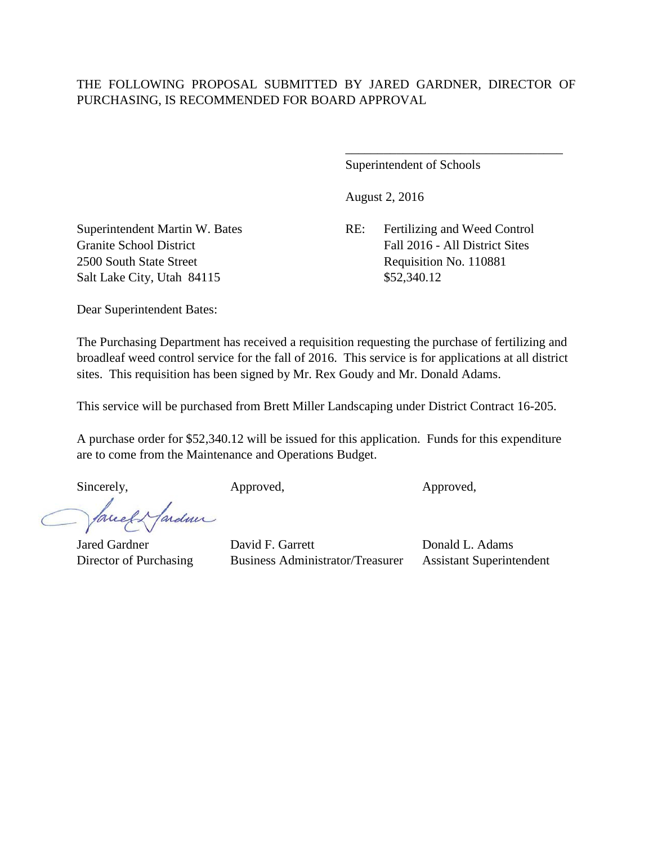## THE FOLLOWING PROPOSAL SUBMITTED BY JARED GARDNER, DIRECTOR OF PURCHASING, IS RECOMMENDED FOR BOARD APPROVAL

Superintendent of Schools

August 2, 2016

Superintendent Martin W. Bates RE: Fertilizing and Weed Control Granite School District The School District Fall 2016 - All District Sites 2500 South State Street Requisition No. 110881

\_\_\_\_\_\_\_\_\_\_\_\_\_\_\_\_\_\_\_\_\_\_\_\_\_\_\_\_\_\_\_\_\_\_

Salt Lake City, Utah 84115 \$52,340.12

Dear Superintendent Bates:

The Purchasing Department has received a requisition requesting the purchase of fertilizing and broadleaf weed control service for the fall of 2016. This service is for applications at all district sites. This requisition has been signed by Mr. Rex Goudy and Mr. Donald Adams.

This service will be purchased from Brett Miller Landscaping under District Contract 16-205.

A purchase order for \$52,340.12 will be issued for this application. Funds for this expenditure are to come from the Maintenance and Operations Budget.

ardun

Sincerely, Approved, Approved, Approved,

Jared Gardner David F. Garrett Donald L. Adams Director of Purchasing Business Administrator/Treasurer Assistant Superintendent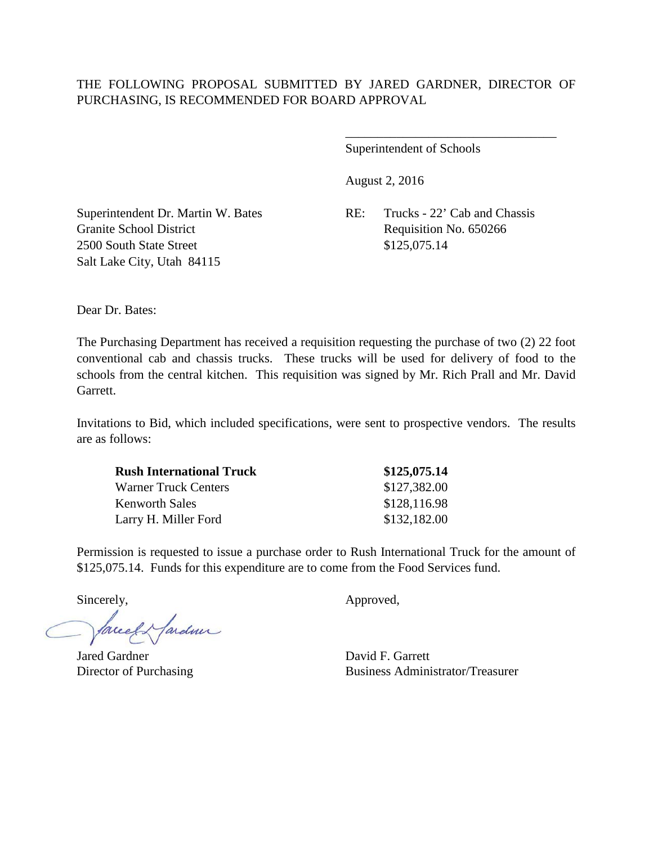Superintendent of Schools

August 2, 2016

Granite School District Requisition No. 650266 2500 South State Street \$125,075.14 Salt Lake City, Utah 84115

Superintendent Dr. Martin W. Bates RE: Trucks - 22' Cab and Chassis

\_\_\_\_\_\_\_\_\_\_\_\_\_\_\_\_\_\_\_\_\_\_\_\_\_\_\_\_\_\_\_\_\_

Dear Dr. Bates:

The Purchasing Department has received a requisition requesting the purchase of two (2) 22 foot conventional cab and chassis trucks. These trucks will be used for delivery of food to the schools from the central kitchen. This requisition was signed by Mr. Rich Prall and Mr. David Garrett.

Invitations to Bid, which included specifications, were sent to prospective vendors. The results are as follows:

| <b>Rush International Truck</b> | \$125,075.14 |
|---------------------------------|--------------|
| Warner Truck Centers            | \$127,382.00 |
| <b>Kenworth Sales</b>           | \$128,116.98 |
| Larry H. Miller Ford            | \$132,182.00 |

Permission is requested to issue a purchase order to Rush International Truck for the amount of \$125,075.14. Funds for this expenditure are to come from the Food Services fund.

Sincerely,  $\qquad \qquad \text{Approved},$ 

facely farden

Jared Gardner David F. Garrett

Director of Purchasing Business Administrator/Treasurer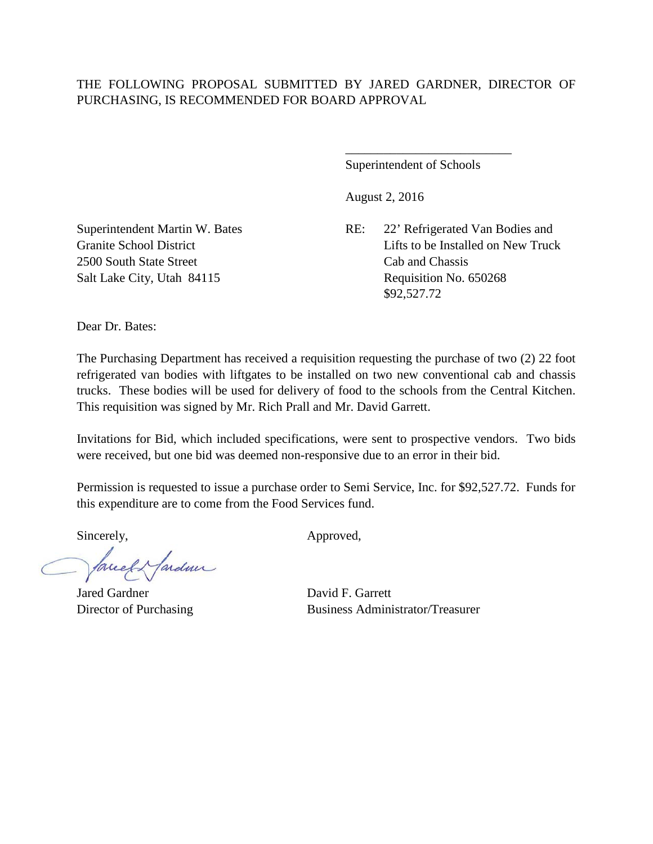## THE FOLLOWING PROPOSAL SUBMITTED BY JARED GARDNER, DIRECTOR OF PURCHASING, IS RECOMMENDED FOR BOARD APPROVAL

Superintendent of Schools

\_\_\_\_\_\_\_\_\_\_\_\_\_\_\_\_\_\_\_\_\_\_\_\_\_\_

August 2, 2016

Superintendent Martin W. Bates RE: 22' Refrigerated Van Bodies and Granite School District Communication Control of Lifts to be Installed on New Truck \$92,527.72

2500 South State Street Cab and Chassis Salt Lake City, Utah 84115 Requisition No. 650268

Dear Dr. Bates:

The Purchasing Department has received a requisition requesting the purchase of two (2) 22 foot refrigerated van bodies with liftgates to be installed on two new conventional cab and chassis trucks. These bodies will be used for delivery of food to the schools from the Central Kitchen. This requisition was signed by Mr. Rich Prall and Mr. David Garrett.

Invitations for Bid, which included specifications, were sent to prospective vendors. Two bids were received, but one bid was deemed non-responsive due to an error in their bid.

Permission is requested to issue a purchase order to Semi Service, Inc. for \$92,527.72. Funds for this expenditure are to come from the Food Services fund.

facely farden

Jared Gardner David F. Garrett

Sincerely, Approved,

Director of Purchasing Business Administrator/Treasurer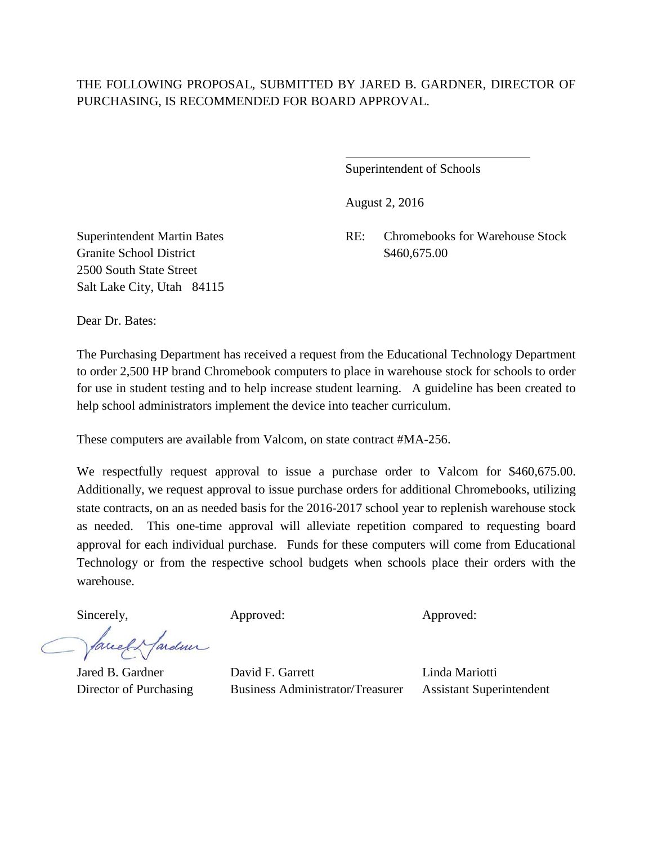## THE FOLLOWING PROPOSAL, SUBMITTED BY JARED B. GARDNER, DIRECTOR OF PURCHASING, IS RECOMMENDED FOR BOARD APPROVAL.

 $\overline{a}$ 

Superintendent of Schools

August 2, 2016

Granite School District \$460,675.00 2500 South State Street Salt Lake City, Utah 84115

Superintendent Martin Bates RE: Chromebooks for Warehouse Stock

Dear Dr. Bates:

The Purchasing Department has received a request from the Educational Technology Department to order 2,500 HP brand Chromebook computers to place in warehouse stock for schools to order for use in student testing and to help increase student learning. A guideline has been created to help school administrators implement the device into teacher curriculum.

These computers are available from Valcom, on state contract #MA-256.

We respectfully request approval to issue a purchase order to Valcom for \$460,675.00. Additionally, we request approval to issue purchase orders for additional Chromebooks, utilizing state contracts, on an as needed basis for the 2016-2017 school year to replenish warehouse stock as needed. This one-time approval will alleviate repetition compared to requesting board approval for each individual purchase. Funds for these computers will come from Educational Technology or from the respective school budgets when schools place their orders with the warehouse.

facel Hardner

Sincerely, Approved: Approved: Approved: Approved:

Jared B. Gardner David F. Garrett Linda Mariotti Director of Purchasing Business Administrator/Treasurer Assistant Superintendent